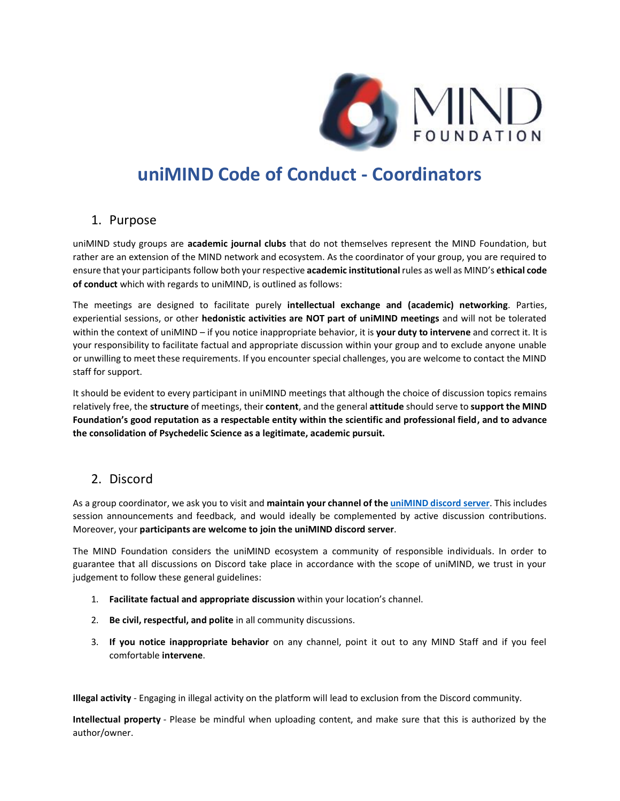

# **uniMIND Code of Conduct - Coordinators**

#### 1. Purpose

uniMIND study groups are **academic journal clubs** that do not themselves represent the MIND Foundation, but rather are an extension of the MIND network and ecosystem. As the coordinator of your group, you are required to ensure that your participants follow both your respective **academic institutional** rules as well as MIND's **ethical code of conduct** which with regards to uniMIND, is outlined as follows:

The meetings are designed to facilitate purely **intellectual exchange and (academic) networking**. Parties, experiential sessions, or other **hedonistic activities are NOT part of uniMIND meetings** and will not be tolerated within the context of uniMIND – if you notice inappropriate behavior, it is **your duty to intervene** and correct it. It is your responsibility to facilitate factual and appropriate discussion within your group and to exclude anyone unable or unwilling to meet these requirements. If you encounter special challenges, you are welcome to contact the MIND staff for support.

It should be evident to every participant in uniMIND meetings that although the choice of discussion topics remains relatively free, the **structure** of meetings, their **content**, and the general **attitude** should serve to **support the MIND Foundation's good reputation as a respectable entity within the scientific and professional field, and to advance the consolidation of Psychedelic Science as a legitimate, academic pursuit.**

### 2. Discord

As a group coordinator, we ask you to visit and **maintain your channel of th[e uniMIND discord server](https://discord.gg/jbag3xfZtc)**. This includes session announcements and feedback, and would ideally be complemented by active discussion contributions. Moreover, your **participants are welcome to join the uniMIND discord server**.

The MIND Foundation considers the uniMIND ecosystem a community of responsible individuals. In order to guarantee that all discussions on Discord take place in accordance with the scope of uniMIND, we trust in your judgement to follow these general guidelines:

- 1. **Facilitate factual and appropriate discussion** within your location's channel.
- 2. **Be civil, respectful, and polite** in all community discussions.
- 3. **If you notice inappropriate behavior** on any channel, point it out to any MIND Staff and if you feel comfortable **intervene**.

**Illegal activity** - Engaging in illegal activity on the platform will lead to exclusion from the Discord community.

**Intellectual property** - Please be mindful when uploading content, and make sure that this is authorized by the author/owner.